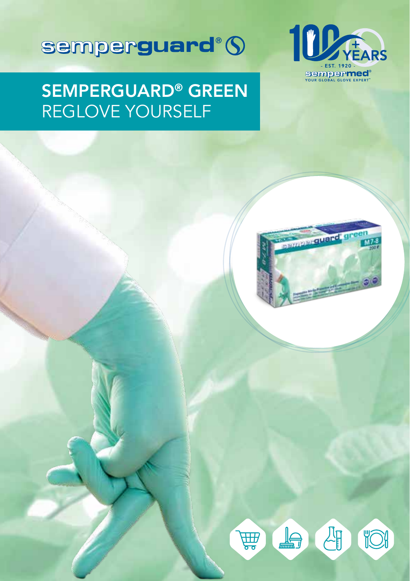

## SEMPERGUARD® GREEN REGLOVE YOURSELF

semperguard<sup>®</sup> (



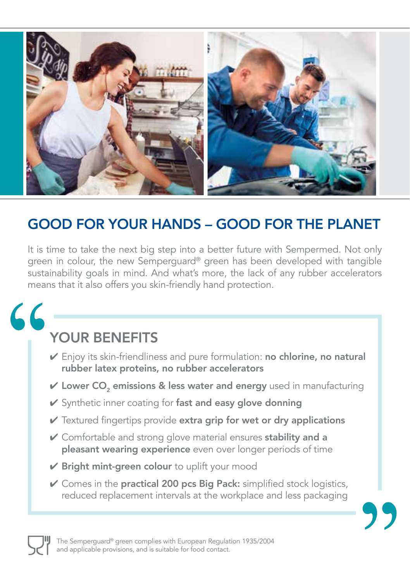

### GOOD FOR YOUR HANDS – GOOD FOR THE PLANET

It is time to take the next big step into a better future with Sempermed. Not only green in colour, the new Semperguard® green has been developed with tangible sustainability goals in mind. And what's more, the lack of any rubber accelerators means that it also offers you skin-friendly hand protection.

# 66

## YOUR BENEFITS

- ✔ Enjoy its skin-friendliness and pure formulation: no chlorine, no natural rubber latex proteins, no rubber accelerators
- $V$  Lower CO<sub>2</sub> emissions & less water and energy used in manufacturing
- ✔ Synthetic inner coating for fast and easy glove donning
- $\vee$  Textured fingertips provide extra grip for wet or dry applications
- ✔ Comfortable and strong glove material ensures stability and a pleasant wearing experience even over longer periods of time
- $\nu$  Bright mint-green colour to uplift your mood
- $\vee$  Comes in the practical 200 pcs Big Pack: simplified stock logistics, reduced replacement intervals at the workplace and less packaging



The Semperguard® green complies with European Regulation 1935/2004 and applicable provisions, and is suitable for food contact.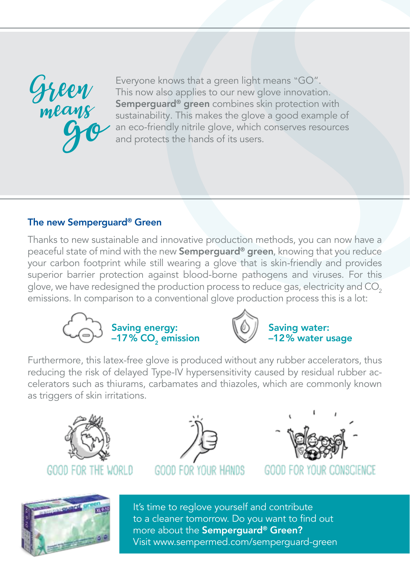

Everyone knows that a green light means "GO". This now also applies to our new glove innovation. Semperguard<sup>®</sup> green combines skin protection with sustainability. This makes the glove a good example of an eco-friendly nitrile glove, which conserves resources and protects the hands of its users.

#### The new Semperguard® Green

Thanks to new sustainable and innovative production methods, you can now have a peaceful state of mind with the new Semperguard® green, knowing that you reduce your carbon footprint while still wearing a glove that is skin-friendly and provides superior barrier protection against blood-borne pathogens and viruses. For this glove, we have redesigned the production process to reduce gas, electricity and CO<sub>2</sub> emissions. In comparison to a conventional glove production process this is a lot:





#### Saving water: –12% water usage

Furthermore, this latex-free glove is produced without any rubber accelerators, thus reducing the risk of delayed Type-IV hypersensitivity caused by residual rubber accelerators such as thiurams, carbamates and thiazoles, which are commonly known as triggers of skin irritations.









GOOD FOR YOUR :ONSCIENCE



It's time to reglove yourself and contribute to a cleaner tomorrow. Do you want to find out more about the Semperguard® Green? Visit www.sempermed.com/semperguard-green